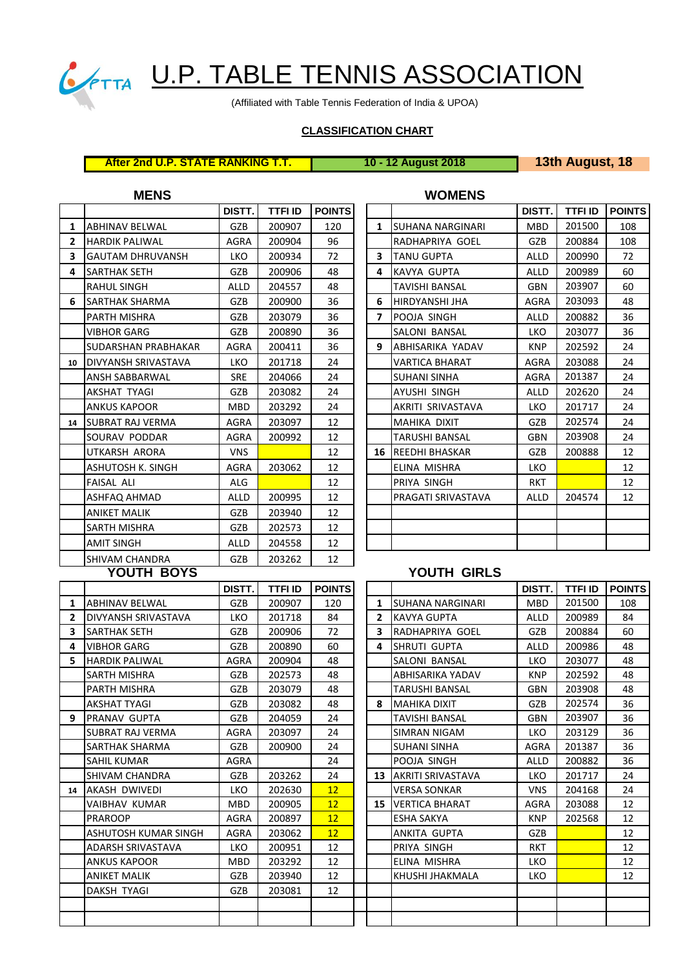

# CETTA U.P. TABLE TENNIS ASSOCIATION

(Affiliated with Table Tennis Federation of India & UPOA)

### **CLASSIFICATION CHART**

# **After 2nd U.P. STATE RANKING T.T. 10 - 12 August 2018 13th August, 18**

## **MENS WOMENS**

|              |                            | DISTT.       | <b>TTFI ID</b> | <b>POINTS</b> |              |                          | DISTT.       | <b>TTFI ID</b> | POIN <sup>®</sup> |
|--------------|----------------------------|--------------|----------------|---------------|--------------|--------------------------|--------------|----------------|-------------------|
| 1            | <b>ABHINAV BELWAL</b>      | GZB          | 200907         | 120           | $\mathbf{1}$ | <b>ISUHANA NARGINARI</b> | <b>MBD</b>   | 201500         | 108               |
| $\mathbf{z}$ | <b>HARDIK PALIWAL</b>      | <b>AGRA</b>  | 200904         | 96            |              | RADHAPRIYA GOEL          | GZB          | 200884         | 108               |
| 3            | <b>GAUTAM DHRUVANSH</b>    | <b>LKO</b>   | 200934         | 72            | 3            | <b>TANU GUPTA</b>        | <b>ALLD</b>  | 200990         | 72                |
| 4            | <b>SARTHAK SETH</b>        | GZB          | 200906         | 48            | 4            | KAVYA GUPTA              | <b>ALLD</b>  | 200989         | 60                |
|              | <b>RAHUL SINGH</b>         | <b>ALLD</b>  | 204557         | 48            |              | <b>TAVISHI BANSAL</b>    | <b>GBN</b>   | 203907         | 60                |
| 6            | <b>SARTHAK SHARMA</b>      | GZB          | 200900         | 36            | 6            | <b>HIRDYANSHI JHA</b>    | <b>AGRA</b>  | 203093         | 48                |
|              | PARTH MISHRA               | GZB          | 203079         | 36            | 7            | POOJA SINGH              | <b>ALLD</b>  | 200882         | 36                |
|              | <b>VIBHOR GARG</b>         | GZB          | 200890         | 36            |              | SALONI BANSAL            | <b>LKO</b>   | 203077         | 36                |
|              | SUDARSHAN PRABHAKAR        | AGRA         | 200411         | 36            | 9            | <b>ABHISARIKA YADAV</b>  | <b>KNP</b>   | 202592         | 24                |
| 10           | <b>DIVYANSH SRIVASTAVA</b> | <b>LKO</b>   | 201718         | 24            |              | <b>VARTICA BHARAT</b>    | <b>AGRA</b>  | 203088         | 24                |
|              | <b>ANSH SABBARWAL</b>      | <b>SRE</b>   | 204066         | 24            |              | <b>SUHANI SINHA</b>      | <b>AGRA</b>  | 201387         | 24                |
|              | AKSHAT TYAGI               | GZB          | 203082         | 24            |              | AYUSHI SINGH             | <b>ALLD</b>  | 202620         | 24                |
|              | <b>ANKUS KAPOOR</b>        | <b>MBD</b>   | 203292         | 24            |              | AKRITI SRIVASTAVA        | <b>LKO</b>   | 201717         | 24                |
| 14           | <b>ISUBRAT RAJ VERMA</b>   | AGRA         | 203097         | 12            |              | <b>MAHIKA DIXIT</b>      | GZB          | 202574         | 24                |
|              | <b>SOURAV PODDAR</b>       | <b>AGRA</b>  | 200992         | 12            |              | <b>TARUSHI BANSAL</b>    | <b>GBN</b>   | 203908         | 24                |
|              | <b>UTKARSH ARORA</b>       | <b>VNS</b>   |                | 12            |              | <b>16 REEDHI BHASKAR</b> | GZB          | 200888         | 12                |
|              | ASHUTOSH K. SINGH          | AGRA         | 203062         | 12            |              | ELINA MISHRA             | <b>LKO</b>   |                | 12                |
|              | <b>FAISAL ALI</b>          | ALG          |                | 12            |              | PRIYA SINGH              | <b>RKT</b>   |                | 12                |
|              | ASHFAQ AHMAD               | <b>ALLD</b>  | 200995         | 12            |              | PRAGATI SRIVASTAVA       | <b>ALLD</b>  | 204574         | 12                |
|              | <b>ANIKET MALIK</b>        | <b>GZB</b>   | 203940         | 12            |              |                          |              |                |                   |
|              | <b>SARTH MISHRA</b>        | GZB          | 202573         | 12            |              |                          |              |                |                   |
|              | <b>AMIT SINGH</b>          | <b>ALLD</b>  | 204558         | 12            |              |                          |              |                |                   |
|              | <b>SHIVAM CHANDRA</b>      | GZB          | 203262         | 12            |              |                          |              |                |                   |
|              | YOUTH BOYS                 |              |                |               |              | YOUTH GIRLS              |              |                |                   |
|              |                            | <b>DISTT</b> | <b>TTFI ID</b> | <b>POINTS</b> |              |                          | <b>DISTT</b> | <b>TTFI ID</b> | <b>POIN</b>       |

| DISTT.      | <b>TTFI ID</b> | <b>POINTS</b> |                          |                         | DISTT.      | TTFI ID | <b>POINTS</b> |
|-------------|----------------|---------------|--------------------------|-------------------------|-------------|---------|---------------|
| GZB         | 200907         | 120           | 1                        | <b>SUHANA NARGINARI</b> | <b>MBD</b>  | 201500  | 108           |
| AGRA        | 200904         | 96            |                          | RADHAPRIYA GOEL         | GZB         | 200884  | 108           |
| <b>LKO</b>  | 200934         | 72            | 3                        | <b>TANU GUPTA</b>       | <b>ALLD</b> | 200990  | 72            |
| GZB         | 200906         | 48            | 4                        | <b>KAVYA GUPTA</b>      | <b>ALLD</b> | 200989  | 60            |
| <b>ALLD</b> | 204557         | 48            |                          | <b>TAVISHI BANSAL</b>   | <b>GBN</b>  | 203907  | 60            |
| GZB         | 200900         | 36            | 6                        | HIRDYANSHI JHA          | <b>AGRA</b> | 203093  | 48            |
| GZB         | 203079         | 36            | $\overline{\phantom{a}}$ | POOJA SINGH             | <b>ALLD</b> | 200882  | 36            |
| GZB         | 200890         | 36            |                          | SALONI BANSAL           | <b>LKO</b>  | 203077  | 36            |
| <b>AGRA</b> | 200411         | 36            | 9                        | ABHISARIKA YADAV        | <b>KNP</b>  | 202592  | 24            |
| <b>LKO</b>  | 201718         | 24            |                          | <b>VARTICA BHARAT</b>   | AGRA        | 203088  | 24            |
| <b>SRE</b>  | 204066         | 24            |                          | <b>SUHANI SINHA</b>     | <b>AGRA</b> | 201387  | 24            |
| GZB         | 203082         | 24            |                          | AYUSHI SINGH            | <b>ALLD</b> | 202620  | 24            |
| <b>MBD</b>  | 203292         | 24            |                          | AKRITI SRIVASTAVA       | <b>LKO</b>  | 201717  | 24            |
| AGRA        | 203097         | 12            |                          | <b>MAHIKA DIXIT</b>     | GZB         | 202574  | 24            |
| <b>AGRA</b> | 200992         | 12            |                          | <b>TARUSHI BANSAL</b>   | <b>GBN</b>  | 203908  | 24            |
| <b>VNS</b>  |                | 12            | 16                       | <b>REEDHI BHASKAR</b>   | GZB         | 200888  | 12            |
| AGRA        | 203062         | 12            |                          | ELINA MISHRA            | <b>LKO</b>  |         | 12            |
| <b>ALG</b>  |                | 12            |                          | PRIYA SINGH             | <b>RKT</b>  |         | 12            |
| <b>ALLD</b> | 200995         | 12            |                          | PRAGATI SRIVASTAVA      | <b>ALLD</b> | 204574  | 12            |
| GZB         | 203940         | 12            |                          |                         |             |         |               |
| GZB         | 202573         | 12            |                          |                         |             |         |               |
| ALLD        | 204558         | 12            |                          |                         |             |         |               |

## **YOUTH GIRLS**

|                |                             | DISTT.      | <b>TTFI ID</b> | <b>POINTS</b>   |                |                             | DISTT.      | <b>TTFI ID</b> | <b>POIN</b> |
|----------------|-----------------------------|-------------|----------------|-----------------|----------------|-----------------------------|-------------|----------------|-------------|
| 1              | <b>ABHINAV BELWAL</b>       | GZB         | 200907         | 120             | 1              | <b>ISUHANA NARGINARI</b>    | <b>MBD</b>  | 201500         | 108         |
| $\overline{2}$ | DIVYANSH SRIVASTAVA         | <b>LKO</b>  | 201718         | 84              | $\overline{2}$ | KAVYA GUPTA                 | <b>ALLD</b> | 200989         | 84          |
| 3              | <b>SARTHAK SETH</b>         | GZB         | 200906         | 72              | 3              | <b>IRADHAPRIYA GOEL</b>     | GZB         | 200884         | 60          |
| 4              | <b>VIBHOR GARG</b>          | <b>GZB</b>  | 200890         | 60              | 4              | <b>SHRUTI GUPTA</b>         | <b>ALLD</b> | 200986         | 48          |
| 5.             | <b>HARDIK PALIWAL</b>       | <b>AGRA</b> | 200904         | 48              |                | <b>SALONI BANSAL</b>        | <b>LKO</b>  | 203077         | 48          |
|                | <b>SARTH MISHRA</b>         | GZB         | 202573         | 48              |                | ABHISARIKA YADAV            | <b>KNP</b>  | 202592         | 48          |
|                | PARTH MISHRA                | GZB         | 203079         | 48              |                | <b>TARUSHI BANSAL</b>       | <b>GBN</b>  | 203908         | 48          |
|                | <b>AKSHAT TYAGI</b>         | GZB         | 203082         | 48              | 8              | <b>MAHIKA DIXIT</b>         | GZB         | 202574         | 36          |
| q              | <b>PRANAV GUPTA</b>         | <b>GZB</b>  | 204059         | 24              |                | <b>TAVISHI BANSAL</b>       | <b>GBN</b>  | 203907         | 36          |
|                | SUBRAT RAJ VERMA            | AGRA        | 203097         | 24              |                | <b>SIMRAN NIGAM</b>         | <b>LKO</b>  | 203129         | 36          |
|                | SARTHAK SHARMA              | GZB         | 200900         | 24              |                | <b>SUHANI SINHA</b>         | <b>AGRA</b> | 201387         | 36          |
|                | SAHIL KUMAR                 | <b>AGRA</b> |                | 24              |                | POOJA SINGH                 | <b>ALLD</b> | 200882         | 36          |
|                | <b>SHIVAM CHANDRA</b>       | GZB         | 203262         | 24              |                | <b>13 AKRITI SRIVASTAVA</b> | <b>LKO</b>  | 201717         | 24          |
| 14             | <b>AKASH DWIVEDI</b>        | <b>LKO</b>  | 202630         | 12              |                | <b>VERSA SONKAR</b>         | <b>VNS</b>  | 204168         | 24          |
|                | <b>VAIBHAV KUMAR</b>        | <b>MBD</b>  | 200905         | 12 <sup>2</sup> |                | <b>15 VERTICA BHARAT</b>    | AGRA        | 203088         | 12          |
|                | <b>PRAROOP</b>              | <b>AGRA</b> | 200897         | 12 <sup>2</sup> |                | <b>ESHA SAKYA</b>           | <b>KNP</b>  | 202568         | 12          |
|                | <b>ASHUTOSH KUMAR SINGH</b> | <b>AGRA</b> | 203062         | 12              |                | ANKITA GUPTA                | GZB         |                | 12          |
|                | <b>ADARSH SRIVASTAVA</b>    | <b>LKO</b>  | 200951         | 12              |                | PRIYA SINGH                 | <b>RKT</b>  |                | 12          |
|                | <b>ANKUS KAPOOR</b>         | <b>MBD</b>  | 203292         | 12              |                | ELINA MISHRA                | <b>LKO</b>  |                | 12          |
|                | <b>ANIKET MALIK</b>         | GZB         | 203940         | 12              |                | KHUSHI JHAKMALA             | <b>LKO</b>  |                | 12          |
|                | <b>DAKSH TYAGI</b>          | GZB         | 203081         | 12              |                |                             |             |                |             |
|                |                             |             |                |                 |                |                             |             |                |             |
|                |                             |             |                |                 |                |                             |             |                |             |
|                |                             |             |                |                 |                |                             |             |                |             |

| DISTT.     | TTFI ID | <b>POINTS</b>   |    |                         | DISTT.      | <b>TTFI ID</b> | <b>POINTS</b> |
|------------|---------|-----------------|----|-------------------------|-------------|----------------|---------------|
| GZB        | 200907  | 120             | 1  | <b>SUHANA NARGINARI</b> | <b>MBD</b>  | 201500         | 108           |
| <b>LKO</b> | 201718  | 84              | 2  | KAVYA GUPTA             | <b>ALLD</b> | 200989         | 84            |
| GZB        | 200906  | 72              | 3  | RADHAPRIYA GOEL         | GZB         | 200884         | 60            |
| GZB        | 200890  | 60              | 4  | SHRUTI GUPTA            | <b>ALLD</b> | 200986         | 48            |
| AGRA       | 200904  | 48              |    | SALONI BANSAL           | <b>LKO</b>  | 203077         | 48            |
| GZB        | 202573  | 48              |    | ABHISARIKA YADAV        | <b>KNP</b>  | 202592         | 48            |
| GZB        | 203079  | 48              |    | TARUSHI BANSAL          | <b>GBN</b>  | 203908         | 48            |
| GZB        | 203082  | 48              | 8  | <b>MAHIKA DIXIT</b>     | GZB         | 202574         | 36            |
| GZB        | 204059  | 24              |    | <b>TAVISHI BANSAL</b>   | <b>GBN</b>  | 203907         | 36            |
| AGRA       | 203097  | 24              |    | SIMRAN NIGAM            | <b>LKO</b>  | 203129         | 36            |
| GZB        | 200900  | 24              |    | <b>SUHANI SINHA</b>     | <b>AGRA</b> | 201387         | 36            |
| AGRA       |         | 24              |    | POOJA SINGH             | <b>ALLD</b> | 200882         | 36            |
| GZB        | 203262  | 24              | 13 | AKRITI SRIVASTAVA       | <b>LKO</b>  | 201717         | 24            |
| <b>LKO</b> | 202630  | 12 <sup>2</sup> |    | <b>VERSA SONKAR</b>     | <b>VNS</b>  | 204168         | 24            |
| <b>MBD</b> | 200905  | 12 <sup>2</sup> | 15 | <b>VERTICA BHARAT</b>   | AGRA        | 203088         | 12            |
| AGRA       | 200897  | 12 <sup>2</sup> |    | <b>ESHA SAKYA</b>       | <b>KNP</b>  | 202568         | 12            |
| AGRA       | 203062  | 12              |    | ANKITA GUPTA            | GZB         |                | 12            |
| <b>LKO</b> | 200951  | 12              |    | PRIYA SINGH             | <b>RKT</b>  |                | 12            |
| <b>MBD</b> | 203292  | 12              |    | ELINA MISHRA            | <b>LKO</b>  |                | 12            |
| GZB        | 203940  | 12              |    | KHUSHI JHAKMALA         | <b>LKO</b>  |                | 12            |
| GZB        | 203081  | 12              |    |                         |             |                |               |
|            |         |                 |    |                         |             |                |               |
|            |         |                 |    |                         |             |                |               |